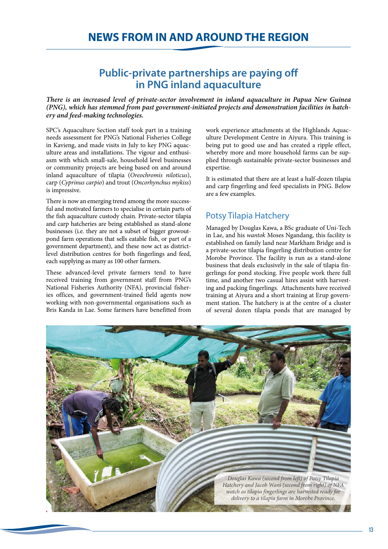# **Public-private partnerships are paying off in PNG inland aquaculture**

*There is an increased level of private-sector involvement in inland aquaculture in Papua New Guinea (PNG), which has stemmed from past government-initiated projects and demonstration facilities in hatchery and feed-making technologies.*

SPC's Aquaculture Section staff took part in a training needs assessment for PNG's National Fisheries College in Kavieng, and made visits in July to key PNG aquaculture areas and installations. The vigour and enthusiasm with which small-sale, household level businesses or community projects are being based on and around inland aquaculture of tilapia (*Oreochromis niloticus*), carp (*Cyprinus carpio*) and trout (*Oncorhynchus mykiss*) is impressive.

There is now an emerging trend among the more successful and motivated farmers to specialise in certain parts of the fish aquaculture custody chain. Private-sector tilapia and carp hatcheries are being established as stand-alone businesses (i.e. they are not a subset of bigger growoutpond farm operations that sells eatable fish, or part of a government department), and these now act as districtlevel distribution centres for both fingerlings and feed, each supplying as many as 100 other farmers.

These advanced-level private farmers tend to have received training from government staff from PNG's National Fisheries Authority (NFA), provincial fisheries offices, and government-trained field agents now working with non-governmental organisations such as Bris Kanda in Lae. Some farmers have benefitted from work experience attachments at the Highlands Aquaculture Development Centre in Aiyura. This training is being put to good use and has created a ripple effect, whereby more and more household farms can be supplied through sustainable private-sector businesses and expertise.

It is estimated that there are at least a half-dozen tilapia and carp fingerling and feed specialists in PNG. Below are a few examples.

# Potsy Tilapia Hatchery

Managed by Douglas Kawa, a BSc graduate of Uni-Tech in Lae, and his *wantok* Moses Ngandang, this facility is established on family land near Markham Bridge and is a private-sector tilapia fingerling distribution centre for Morobe Province. The facility is run as a stand-alone business that deals exclusively in the sale of tilapia fingerlings for pond stocking. Five people work there full time, and another two casual hires assist with harvesting and packing fingerlings. Attachments have received training at Aiyura and a short training at Erup government station. The hatchery is at the centre of a cluster of several dozen tilapia ponds that are managed by

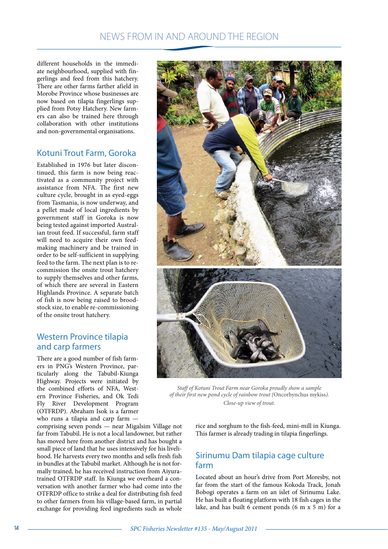different households in the immediate neighbourhood, supplied with fingerlings and feed from this hatchery. There are other farms farther afield in Morobe Province whose businesses are now based on tilapia fingerlings supplied from Potsy Hatchery. New farmers can also be trained here through collaboration with other institutions and non-governmental organisations.

# Kotuni Trout Farm, Goroka

Established in 1976 but later discontinued, this farm is now being reactivated as a community project with assistance from NFA. The first new culture cycle, brought in as eyed-eggs from Tasmania, is now underway, and a pellet made of local ingredients by government staff in Goroka is now being tested against imported Australian trout feed. If successful, farm staff will need to acquire their own feedmaking machinery and be trained in order to be self-sufficient in supplying feed to the farm. The next plan is to recommission the onsite trout hatchery to supply themselves and other farms, of which there are several in Eastern Highlands Province. A separate batch of fish is now being raised to broodstock size, to enable re-commissioning of the onsite trout hatchery.

### Western Province tilapia and carp farmers

There are a good number of fish farmers in PNG's Western Province, particularly along the Tabubil-Kiunga Highway. Projects were initiated by the combined efforts of NFA, Western Province Fisheries, and Ok Tedi Fly River Development Program (OTFRDP). Abraham Isok is a farmer who runs a tilapia and carp farm —

comprising seven ponds — near Migalsim Village not far from Tabubil. He is not a local landowner, but rather has moved here from another district and has bought a small piece of land that he uses intensively for his livelihood. He harvests every two months and sells fresh fish in bundles at the Tabubil market. Although he is not formally trained, he has received instruction from Aiyuratrained OTFRDP staff. In Kiunga we overheard a conversation with another farmer who had come into the OTFRDP office to strike a deal for distributing fish feed to other farmers from his village-based farm, in partial exchange for providing feed ingredients such as whole



*Staff of Kotuni Trout Farm near Goroka proudly show a sample of their first new pond cycle of rainbow trout (*Oncorhynchus mykiss*). Close-up view of trout.*

rice and sorghum to the fish-feed, mini-mill in Kiunga. This farmer is already trading in tilapia fingerlings.

### Sirinumu Dam tilapia cage culture farm

Located about an hour's drive from Port Moresby, not far from the start of the famous Kokoda Track, Jonah Bobogi operates a farm on an islet of Sirinumu Lake. He has built a floating platform with 18 fish cages in the lake, and has built 6 cement ponds (6 m x 5 m) for a